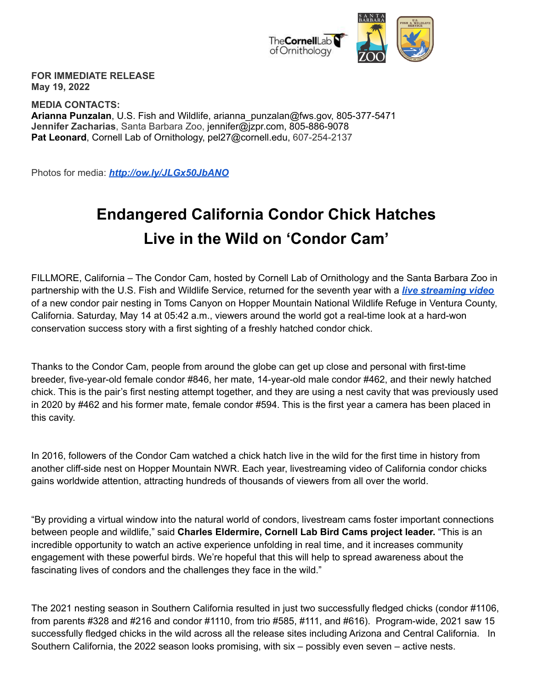

**FOR IMMEDIATE RELEASE May 19, 2022**

**MEDIA CONTACTS: Arianna Punzalan**, U.S. Fish and Wildlife, arianna\_punzalan@fws.gov, 805-377-5471 **Jennifer Zacharias**, Santa Barbara Zoo, jennifer@jzpr.com, 805-886-9078 **Pat Leonard**, Cornell Lab of Ornithology, pel27@cornell.edu, 607-254-2137

Photos for media: *<http://ow.ly/JLGx50JbANO>*

## **Endangered California Condor Chick Hatches Live in the Wild on 'Condor Cam'**

FILLMORE, California – The Condor Cam, hosted by Cornell Lab of Ornithology and the Santa Barbara Zoo in partnership with the U.S. Fish and Wildlife Service, returned for the seventh year with a *live [streaming](https://www.sbzoo.org/conservation/condor-cam/) video* of a new condor pair nesting in Toms Canyon on Hopper Mountain National Wildlife Refuge in Ventura County, California. Saturday, May 14 at 05:42 a.m., viewers around the world got a real-time look at a hard-won conservation success story with a first sighting of a freshly hatched condor chick.

Thanks to the Condor Cam, people from around the globe can get up close and personal with first-time breeder, five-year-old female condor #846, her mate, 14-year-old male condor #462, and their newly hatched chick. This is the pair's first nesting attempt together, and they are using a nest cavity that was previously used in 2020 by #462 and his former mate, female condor #594. This is the first year a camera has been placed in this cavity.

In 2016, followers of the Condor Cam watched a chick hatch live in the wild for the first time in history from another cliff-side nest on Hopper Mountain NWR. Each year, livestreaming video of California condor chicks gains worldwide attention, attracting hundreds of thousands of viewers from all over the world.

"By providing a virtual window into the natural world of condors, livestream cams foster important connections between people and wildlife," said **Charles Eldermire, Cornell Lab Bird Cams project leader.** "This is an incredible opportunity to watch an active experience unfolding in real time, and it increases community engagement with these powerful birds. We're hopeful that this will help to spread awareness about the fascinating lives of condors and the challenges they face in the wild."

The 2021 nesting season in Southern California resulted in just two successfully fledged chicks (condor #1106, from parents #328 and #216 and condor #1110, from trio #585, #111, and #616). Program-wide, 2021 saw 15 successfully fledged chicks in the wild across all the release sites including Arizona and Central California. In Southern California, the 2022 season looks promising, with six – possibly even seven – active nests.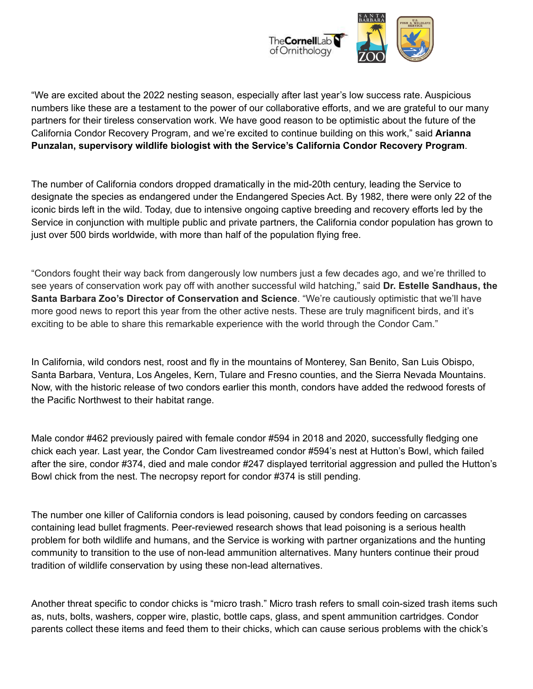

"We are excited about the 2022 nesting season, especially after last year's low success rate. Auspicious numbers like these are a testament to the power of our collaborative efforts, and we are grateful to our many partners for their tireless conservation work. We have good reason to be optimistic about the future of the California Condor Recovery Program, and we're excited to continue building on this work," said **Arianna Punzalan, supervisory wildlife biologist with the Service's California Condor Recovery Program**.

The number of California condors dropped dramatically in the mid-20th century, leading the Service to designate the species as endangered under the Endangered Species Act. By 1982, there were only 22 of the iconic birds left in the wild. Today, due to intensive ongoing captive breeding and recovery efforts led by the Service in conjunction with multiple public and private partners, the California condor population has grown to just over 500 birds worldwide, with more than half of the population flying free.

"Condors fought their way back from dangerously low numbers just a few decades ago, and we're thrilled to see years of conservation work pay off with another successful wild hatching," said **Dr. Estelle Sandhaus, the Santa Barbara Zoo's Director of Conservation and Science**. "We're cautiously optimistic that we'll have more good news to report this year from the other active nests. These are truly magnificent birds, and it's exciting to be able to share this remarkable experience with the world through the Condor Cam."

In California, wild condors nest, roost and fly in the mountains of Monterey, San Benito, San Luis Obispo, Santa Barbara, Ventura, Los Angeles, Kern, Tulare and Fresno counties, and the Sierra Nevada Mountains. Now, with the historic release of two condors earlier this month, condors have added the redwood forests of the Pacific Northwest to their habitat range.

Male condor #462 previously paired with female condor #594 in 2018 and 2020, successfully fledging one chick each year. Last year, the Condor Cam livestreamed condor #594's nest at Hutton's Bowl, which failed after the sire, condor #374, died and male condor #247 displayed territorial aggression and pulled the Hutton's Bowl chick from the nest. The necropsy report for condor #374 is still pending.

The number one killer of California condors is lead poisoning, caused by condors feeding on carcasses containing lead bullet fragments. Peer-reviewed research shows that lead poisoning is a serious health problem for both wildlife and humans, and the Service is working with partner organizations and the hunting community to transition to the use of non-lead ammunition alternatives. Many hunters continue their proud tradition of wildlife conservation by using these non-lead alternatives.

Another threat specific to condor chicks is "micro trash." Micro trash refers to small coin-sized trash items such as, nuts, bolts, washers, copper wire, plastic, bottle caps, glass, and spent ammunition cartridges. Condor parents collect these items and feed them to their chicks, which can cause serious problems with the chick's